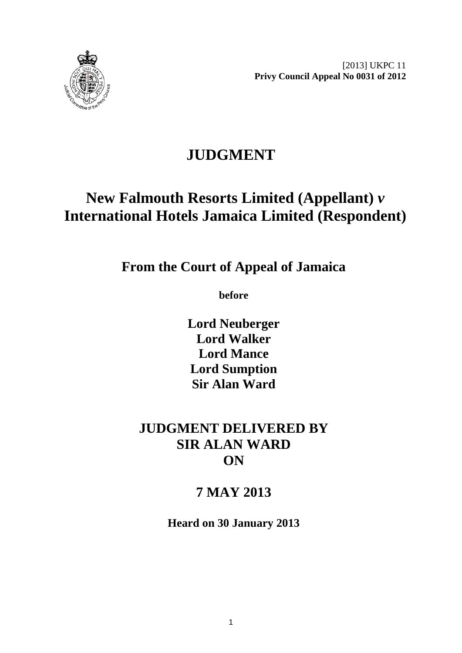

 [2013] UKPC 11 **Privy Council Appeal No 0031 of 2012** 

# **JUDGMENT**

# **New Falmouth Resorts Limited (Appellant)** *v* **International Hotels Jamaica Limited (Respondent)**

**From the Court of Appeal of Jamaica** 

**before** 

**Lord Neuberger Lord Walker Lord Mance Lord Sumption Sir Alan Ward** 

# **JUDGMENT DELIVERED BY SIR ALAN WARD ON**

# **7 MAY 2013**

**Heard on 30 January 2013**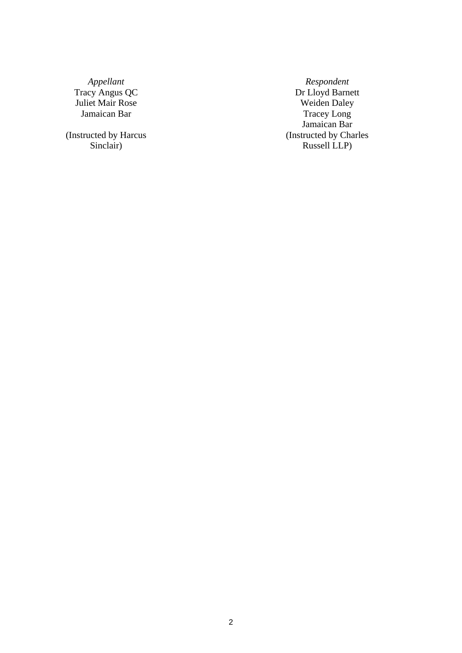Tracy Angus QC Juliet Mair Rose

(Instructed by Harcus Sinclair)

*Appellant Respondent*  Dr Lloyd Barnett Weiden Daley Jamaican Bar Tracey Long Jamaican Bar (Instructed by Charles Russell LLP)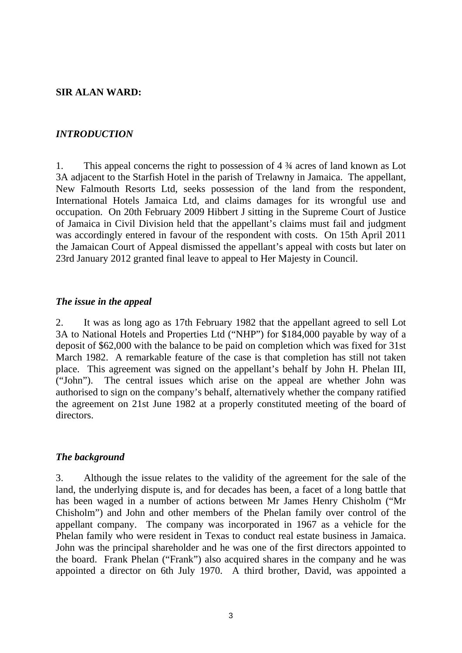#### **SIR ALAN WARD:**

### *INTRODUCTION*

1. This appeal concerns the right to possession of 4 ¾ acres of land known as Lot 3A adjacent to the Starfish Hotel in the parish of Trelawny in Jamaica. The appellant, New Falmouth Resorts Ltd, seeks possession of the land from the respondent, International Hotels Jamaica Ltd, and claims damages for its wrongful use and occupation. On 20th February 2009 Hibbert J sitting in the Supreme Court of Justice of Jamaica in Civil Division held that the appellant's claims must fail and judgment was accordingly entered in favour of the respondent with costs. On 15th April 2011 the Jamaican Court of Appeal dismissed the appellant's appeal with costs but later on 23rd January 2012 granted final leave to appeal to Her Majesty in Council.

#### *The issue in the appeal*

2. It was as long ago as 17th February 1982 that the appellant agreed to sell Lot 3A to National Hotels and Properties Ltd ("NHP") for \$184,000 payable by way of a deposit of \$62,000 with the balance to be paid on completion which was fixed for 31st March 1982. A remarkable feature of the case is that completion has still not taken place. This agreement was signed on the appellant's behalf by John H. Phelan III, ("John"). The central issues which arise on the appeal are whether John was authorised to sign on the company's behalf, alternatively whether the company ratified the agreement on 21st June 1982 at a properly constituted meeting of the board of directors.

#### *The background*

3. Although the issue relates to the validity of the agreement for the sale of the land, the underlying dispute is, and for decades has been, a facet of a long battle that has been waged in a number of actions between Mr James Henry Chisholm ("Mr Chisholm") and John and other members of the Phelan family over control of the appellant company. The company was incorporated in 1967 as a vehicle for the Phelan family who were resident in Texas to conduct real estate business in Jamaica. John was the principal shareholder and he was one of the first directors appointed to the board. Frank Phelan ("Frank") also acquired shares in the company and he was appointed a director on 6th July 1970. A third brother, David, was appointed a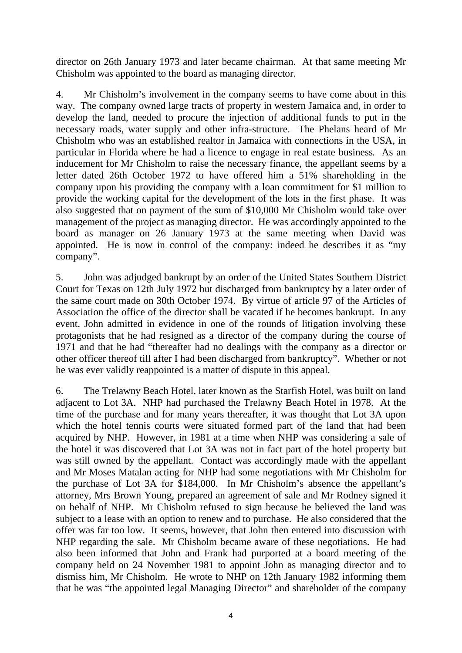director on 26th January 1973 and later became chairman. At that same meeting Mr Chisholm was appointed to the board as managing director.

4. Mr Chisholm's involvement in the company seems to have come about in this way. The company owned large tracts of property in western Jamaica and, in order to develop the land, needed to procure the injection of additional funds to put in the necessary roads, water supply and other infra-structure. The Phelans heard of Mr Chisholm who was an established realtor in Jamaica with connections in the USA, in particular in Florida where he had a licence to engage in real estate business*.* As an inducement for Mr Chisholm to raise the necessary finance, the appellant seems by a letter dated 26th October 1972 to have offered him a 51% shareholding in the company upon his providing the company with a loan commitment for \$1 million to provide the working capital for the development of the lots in the first phase. It was also suggested that on payment of the sum of \$10,000 Mr Chisholm would take over management of the project as managing director. He was accordingly appointed to the board as manager on 26 January 1973 at the same meeting when David was appointed. He is now in control of the company: indeed he describes it as "my company".

5. John was adjudged bankrupt by an order of the United States Southern District Court for Texas on 12th July 1972 but discharged from bankruptcy by a later order of the same court made on 30th October 1974. By virtue of article 97 of the Articles of Association the office of the director shall be vacated if he becomes bankrupt. In any event, John admitted in evidence in one of the rounds of litigation involving these protagonists that he had resigned as a director of the company during the course of 1971 and that he had "thereafter had no dealings with the company as a director or other officer thereof till after I had been discharged from bankruptcy". Whether or not he was ever validly reappointed is a matter of dispute in this appeal.

6. The Trelawny Beach Hotel, later known as the Starfish Hotel, was built on land adjacent to Lot 3A. NHP had purchased the Trelawny Beach Hotel in 1978. At the time of the purchase and for many years thereafter, it was thought that Lot 3A upon which the hotel tennis courts were situated formed part of the land that had been acquired by NHP. However, in 1981 at a time when NHP was considering a sale of the hotel it was discovered that Lot 3A was not in fact part of the hotel property but was still owned by the appellant. Contact was accordingly made with the appellant and Mr Moses Matalan acting for NHP had some negotiations with Mr Chisholm for the purchase of Lot 3A for \$184,000. In Mr Chisholm's absence the appellant's attorney, Mrs Brown Young, prepared an agreement of sale and Mr Rodney signed it on behalf of NHP. Mr Chisholm refused to sign because he believed the land was subject to a lease with an option to renew and to purchase. He also considered that the offer was far too low. It seems, however, that John then entered into discussion with NHP regarding the sale. Mr Chisholm became aware of these negotiations. He had also been informed that John and Frank had purported at a board meeting of the company held on 24 November 1981 to appoint John as managing director and to dismiss him, Mr Chisholm. He wrote to NHP on 12th January 1982 informing them that he was "the appointed legal Managing Director" and shareholder of the company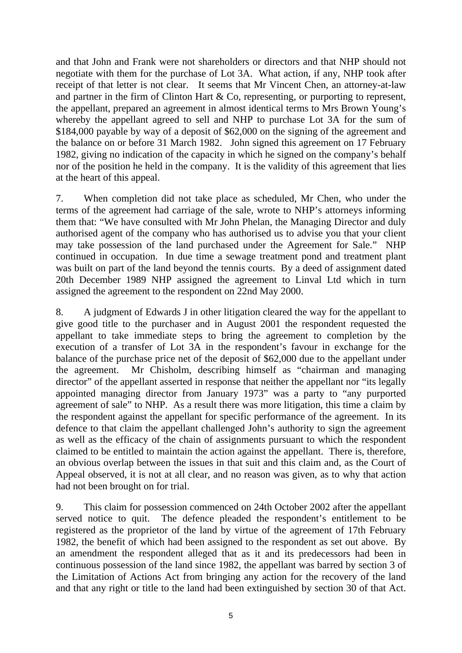and that John and Frank were not shareholders or directors and that NHP should not negotiate with them for the purchase of Lot 3A. What action, if any, NHP took after receipt of that letter is not clear. It seems that Mr Vincent Chen, an attorney-at-law and partner in the firm of Clinton Hart & Co, representing, or purporting to represent, the appellant, prepared an agreement in almost identical terms to Mrs Brown Young's whereby the appellant agreed to sell and NHP to purchase Lot 3A for the sum of \$184,000 payable by way of a deposit of \$62,000 on the signing of the agreement and the balance on or before 31 March 1982. John signed this agreement on 17 February 1982, giving no indication of the capacity in which he signed on the company's behalf nor of the position he held in the company. It is the validity of this agreement that lies at the heart of this appeal.

7. When completion did not take place as scheduled, Mr Chen, who under the terms of the agreement had carriage of the sale, wrote to NHP's attorneys informing them that: "We have consulted with Mr John Phelan, the Managing Director and duly authorised agent of the company who has authorised us to advise you that your client may take possession of the land purchased under the Agreement for Sale." NHP continued in occupation. In due time a sewage treatment pond and treatment plant was built on part of the land beyond the tennis courts. By a deed of assignment dated 20th December 1989 NHP assigned the agreement to Linval Ltd which in turn assigned the agreement to the respondent on 22nd May 2000.

8. A judgment of Edwards J in other litigation cleared the way for the appellant to give good title to the purchaser and in August 2001 the respondent requested the appellant to take immediate steps to bring the agreement to completion by the execution of a transfer of Lot 3A in the respondent's favour in exchange for the balance of the purchase price net of the deposit of \$62,000 due to the appellant under the agreement. Mr Chisholm, describing himself as "chairman and managing director" of the appellant asserted in response that neither the appellant nor "its legally appointed managing director from January 1973" was a party to "any purported agreement of sale" to NHP. As a result there was more litigation, this time a claim by the respondent against the appellant for specific performance of the agreement. In its defence to that claim the appellant challenged John's authority to sign the agreement as well as the efficacy of the chain of assignments pursuant to which the respondent claimed to be entitled to maintain the action against the appellant. There is, therefore, an obvious overlap between the issues in that suit and this claim and, as the Court of Appeal observed, it is not at all clear, and no reason was given, as to why that action had not been brought on for trial.

9. This claim for possession commenced on 24th October 2002 after the appellant served notice to quit. The defence pleaded the respondent's entitlement to be registered as the proprietor of the land by virtue of the agreement of 17th February 1982, the benefit of which had been assigned to the respondent as set out above. By an amendment the respondent alleged that as it and its predecessors had been in continuous possession of the land since 1982, the appellant was barred by section 3 of the Limitation of Actions Act from bringing any action for the recovery of the land and that any right or title to the land had been extinguished by section 30 of that Act.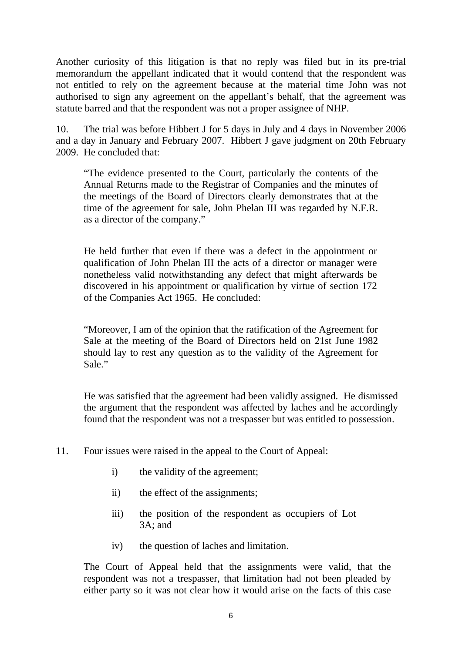Another curiosity of this litigation is that no reply was filed but in its pre-trial memorandum the appellant indicated that it would contend that the respondent was not entitled to rely on the agreement because at the material time John was not authorised to sign any agreement on the appellant's behalf, that the agreement was statute barred and that the respondent was not a proper assignee of NHP.

10. The trial was before Hibbert J for 5 days in July and 4 days in November 2006 and a day in January and February 2007. Hibbert J gave judgment on 20th February 2009. He concluded that:

"The evidence presented to the Court, particularly the contents of the Annual Returns made to the Registrar of Companies and the minutes of the meetings of the Board of Directors clearly demonstrates that at the time of the agreement for sale, John Phelan III was regarded by N.F.R. as a director of the company."

He held further that even if there was a defect in the appointment or qualification of John Phelan III the acts of a director or manager were nonetheless valid notwithstanding any defect that might afterwards be discovered in his appointment or qualification by virtue of section 172 of the Companies Act 1965. He concluded:

"Moreover, I am of the opinion that the ratification of the Agreement for Sale at the meeting of the Board of Directors held on 21st June 1982 should lay to rest any question as to the validity of the Agreement for Sale."

He was satisfied that the agreement had been validly assigned. He dismissed the argument that the respondent was affected by laches and he accordingly found that the respondent was not a trespasser but was entitled to possession.

- 11. Four issues were raised in the appeal to the Court of Appeal:
	- i) the validity of the agreement;
	- ii) the effect of the assignments;
	- iii) the position of the respondent as occupiers of Lot 3A; and
	- iv) the question of laches and limitation.

The Court of Appeal held that the assignments were valid, that the respondent was not a trespasser, that limitation had not been pleaded by either party so it was not clear how it would arise on the facts of this case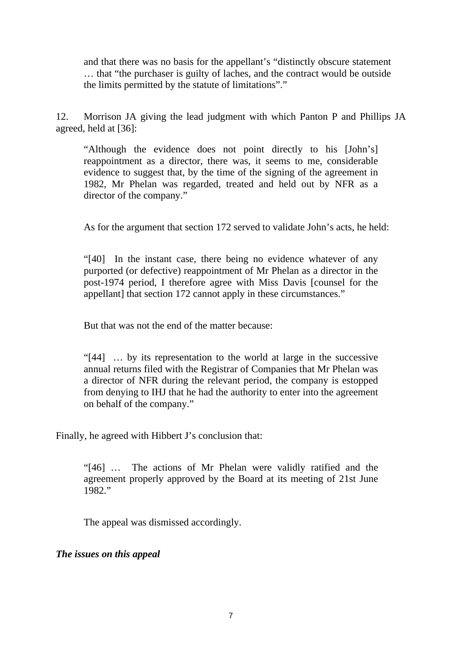and that there was no basis for the appellant's "distinctly obscure statement … that "the purchaser is guilty of laches, and the contract would be outside the limits permitted by the statute of limitations"."

12. Morrison JA giving the lead judgment with which Panton P and Phillips JA agreed, held at [36]:

"Although the evidence does not point directly to his [John's] reappointment as a director, there was, it seems to me, considerable evidence to suggest that, by the time of the signing of the agreement in 1982, Mr Phelan was regarded, treated and held out by NFR as a director of the company."

As for the argument that section 172 served to validate John's acts, he held:

"[40] In the instant case, there being no evidence whatever of any purported (or defective) reappointment of Mr Phelan as a director in the post-1974 period, I therefore agree with Miss Davis [counsel for the appellant] that section 172 cannot apply in these circumstances."

But that was not the end of the matter because:

"[44] … by its representation to the world at large in the successive annual returns filed with the Registrar of Companies that Mr Phelan was a director of NFR during the relevant period, the company is estopped from denying to IHJ that he had the authority to enter into the agreement on behalf of the company."

Finally, he agreed with Hibbert J's conclusion that:

"[46] … The actions of Mr Phelan were validly ratified and the agreement properly approved by the Board at its meeting of 21st June 1982."

The appeal was dismissed accordingly.

*The issues on this appeal*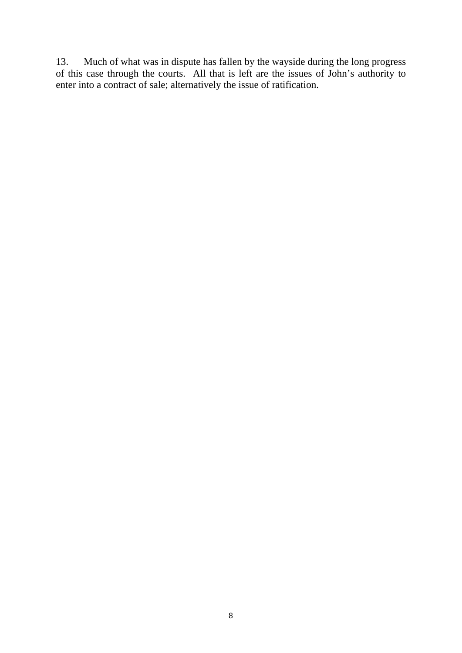13. Much of what was in dispute has fallen by the wayside during the long progress of this case through the courts. All that is left are the issues of John's authority to enter into a contract of sale; alternatively the issue of ratification.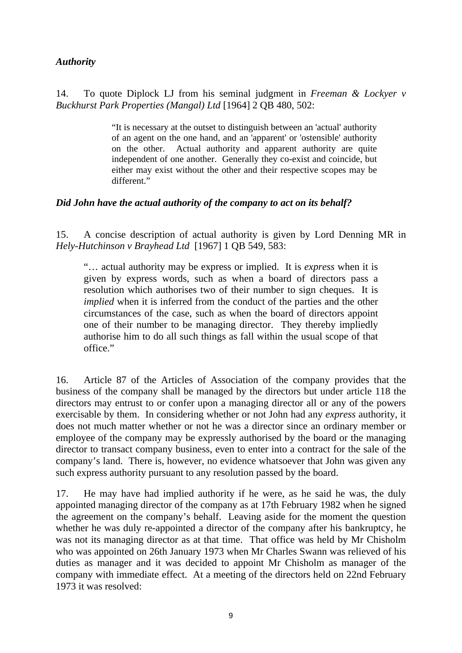## *Authority*

14. To quote Diplock LJ from his seminal judgment in *Freeman & Lockyer v Buckhurst Park Properties (Mangal) Ltd* [1964] 2 QB 480, 502:

> "It is necessary at the outset to distinguish between an 'actual' authority of an agent on the one hand, and an 'apparent' or 'ostensible' authority on the other. Actual authority and apparent authority are quite independent of one another. Generally they co-exist and coincide, but either may exist without the other and their respective scopes may be different."

#### *Did John have the actual authority of the company to act on its behalf?*

15. A concise description of actual authority is given by Lord Denning MR in *Hely-Hutchinson v Brayhead Ltd* [1967] 1 QB 549, 583:

"… actual authority may be express or implied. It is *express* when it is given by express words, such as when a board of directors pass a resolution which authorises two of their number to sign cheques. It is *implied* when it is inferred from the conduct of the parties and the other circumstances of the case, such as when the board of directors appoint one of their number to be managing director. They thereby impliedly authorise him to do all such things as fall within the usual scope of that office."

16. Article 87 of the Articles of Association of the company provides that the business of the company shall be managed by the directors but under article 118 the directors may entrust to or confer upon a managing director all or any of the powers exercisable by them. In considering whether or not John had any *express* authority, it does not much matter whether or not he was a director since an ordinary member or employee of the company may be expressly authorised by the board or the managing director to transact company business, even to enter into a contract for the sale of the company's land. There is, however, no evidence whatsoever that John was given any such express authority pursuant to any resolution passed by the board.

17. He may have had implied authority if he were, as he said he was, the duly appointed managing director of the company as at 17th February 1982 when he signed the agreement on the company's behalf. Leaving aside for the moment the question whether he was duly re-appointed a director of the company after his bankruptcy, he was not its managing director as at that time. That office was held by Mr Chisholm who was appointed on 26th January 1973 when Mr Charles Swann was relieved of his duties as manager and it was decided to appoint Mr Chisholm as manager of the company with immediate effect. At a meeting of the directors held on 22nd February 1973 it was resolved: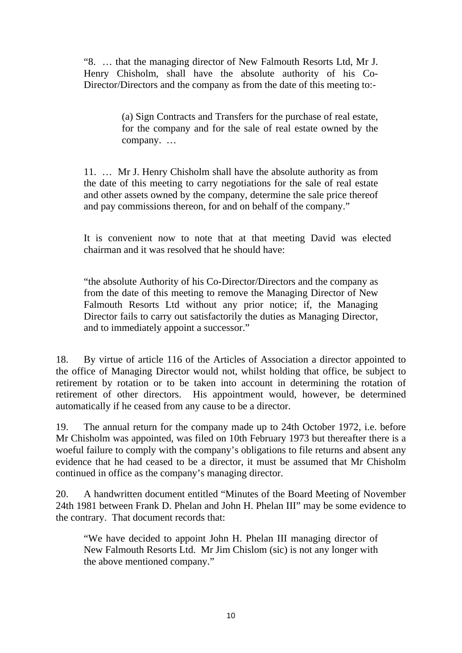"8. … that the managing director of New Falmouth Resorts Ltd, Mr J. Henry Chisholm, shall have the absolute authority of his Co-Director/Directors and the company as from the date of this meeting to:-

> (a) Sign Contracts and Transfers for the purchase of real estate, for the company and for the sale of real estate owned by the company. …

11. … Mr J. Henry Chisholm shall have the absolute authority as from the date of this meeting to carry negotiations for the sale of real estate and other assets owned by the company, determine the sale price thereof and pay commissions thereon, for and on behalf of the company."

It is convenient now to note that at that meeting David was elected chairman and it was resolved that he should have:

"the absolute Authority of his Co-Director/Directors and the company as from the date of this meeting to remove the Managing Director of New Falmouth Resorts Ltd without any prior notice; if, the Managing Director fails to carry out satisfactorily the duties as Managing Director, and to immediately appoint a successor."

18. By virtue of article 116 of the Articles of Association a director appointed to the office of Managing Director would not, whilst holding that office, be subject to retirement by rotation or to be taken into account in determining the rotation of retirement of other directors. His appointment would, however, be determined automatically if he ceased from any cause to be a director.

19. The annual return for the company made up to 24th October 1972, i.e. before Mr Chisholm was appointed, was filed on 10th February 1973 but thereafter there is a woeful failure to comply with the company's obligations to file returns and absent any evidence that he had ceased to be a director, it must be assumed that Mr Chisholm continued in office as the company's managing director.

20. A handwritten document entitled "Minutes of the Board Meeting of November 24th 1981 between Frank D. Phelan and John H. Phelan III" may be some evidence to the contrary. That document records that:

"We have decided to appoint John H. Phelan III managing director of New Falmouth Resorts Ltd. Mr Jim Chislom (sic) is not any longer with the above mentioned company."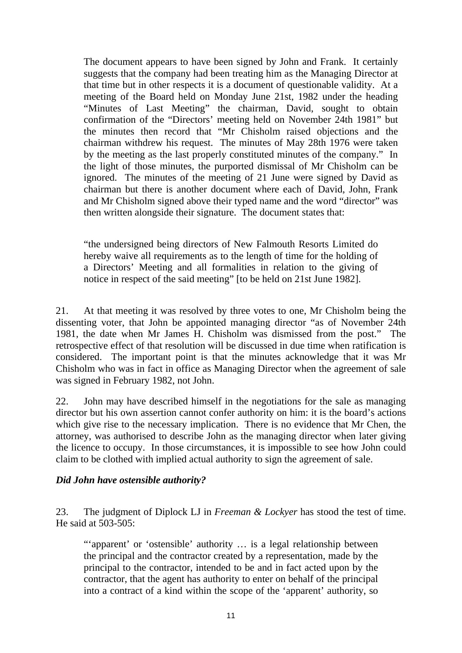The document appears to have been signed by John and Frank. It certainly suggests that the company had been treating him as the Managing Director at that time but in other respects it is a document of questionable validity. At a meeting of the Board held on Monday June 21st, 1982 under the heading "Minutes of Last Meeting" the chairman, David, sought to obtain confirmation of the "Directors' meeting held on November 24th 1981" but the minutes then record that "Mr Chisholm raised objections and the chairman withdrew his request. The minutes of May 28th 1976 were taken by the meeting as the last properly constituted minutes of the company." In the light of those minutes, the purported dismissal of Mr Chisholm can be ignored. The minutes of the meeting of 21 June were signed by David as chairman but there is another document where each of David, John, Frank and Mr Chisholm signed above their typed name and the word "director" was then written alongside their signature. The document states that:

"the undersigned being directors of New Falmouth Resorts Limited do hereby waive all requirements as to the length of time for the holding of a Directors' Meeting and all formalities in relation to the giving of notice in respect of the said meeting" [to be held on 21st June 1982].

21. At that meeting it was resolved by three votes to one, Mr Chisholm being the dissenting voter, that John be appointed managing director "as of November 24th 1981, the date when Mr James H. Chisholm was dismissed from the post." The retrospective effect of that resolution will be discussed in due time when ratification is considered. The important point is that the minutes acknowledge that it was Mr Chisholm who was in fact in office as Managing Director when the agreement of sale was signed in February 1982, not John.

22. John may have described himself in the negotiations for the sale as managing director but his own assertion cannot confer authority on him: it is the board's actions which give rise to the necessary implication. There is no evidence that Mr Chen, the attorney, was authorised to describe John as the managing director when later giving the licence to occupy. In those circumstances, it is impossible to see how John could claim to be clothed with implied actual authority to sign the agreement of sale.

## *Did John have ostensible authority?*

23. The judgment of Diplock LJ in *Freeman & Lockyer* has stood the test of time. He said at 503-505:

"'apparent' or 'ostensible' authority … is a legal relationship between the principal and the contractor created by a representation, made by the principal to the contractor, intended to be and in fact acted upon by the contractor, that the agent has authority to enter on behalf of the principal into a contract of a kind within the scope of the 'apparent' authority, so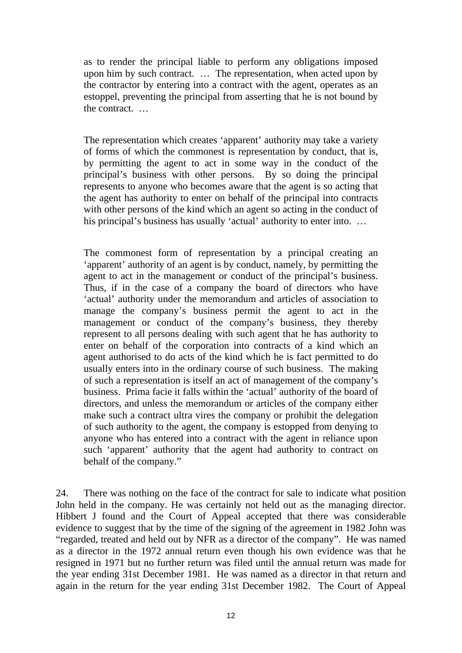as to render the principal liable to perform any obligations imposed upon him by such contract. … The representation, when acted upon by the contractor by entering into a contract with the agent, operates as an estoppel, preventing the principal from asserting that he is not bound by the contract. …

The representation which creates 'apparent' authority may take a variety of forms of which the commonest is representation by conduct, that is, by permitting the agent to act in some way in the conduct of the principal's business with other persons. By so doing the principal represents to anyone who becomes aware that the agent is so acting that the agent has authority to enter on behalf of the principal into contracts with other persons of the kind which an agent so acting in the conduct of his principal's business has usually 'actual' authority to enter into. ...

The commonest form of representation by a principal creating an 'apparent' authority of an agent is by conduct, namely, by permitting the agent to act in the management or conduct of the principal's business. Thus, if in the case of a company the board of directors who have 'actual' authority under the memorandum and articles of association to manage the company's business permit the agent to act in the management or conduct of the company's business, they thereby represent to all persons dealing with such agent that he has authority to enter on behalf of the corporation into contracts of a kind which an agent authorised to do acts of the kind which he is fact permitted to do usually enters into in the ordinary course of such business. The making of such a representation is itself an act of management of the company's business. Prima facie it falls within the 'actual' authority of the board of directors, and unless the memorandum or articles of the company either make such a contract ultra vires the company or prohibit the delegation of such authority to the agent, the company is estopped from denying to anyone who has entered into a contract with the agent in reliance upon such 'apparent' authority that the agent had authority to contract on behalf of the company."

24. There was nothing on the face of the contract for sale to indicate what position John held in the company. He was certainly not held out as the managing director. Hibbert J found and the Court of Appeal accepted that there was considerable evidence to suggest that by the time of the signing of the agreement in 1982 John was "regarded, treated and held out by NFR as a director of the company". He was named as a director in the 1972 annual return even though his own evidence was that he resigned in 1971 but no further return was filed until the annual return was made for the year ending 31st December 1981. He was named as a director in that return and again in the return for the year ending 31st December 1982. The Court of Appeal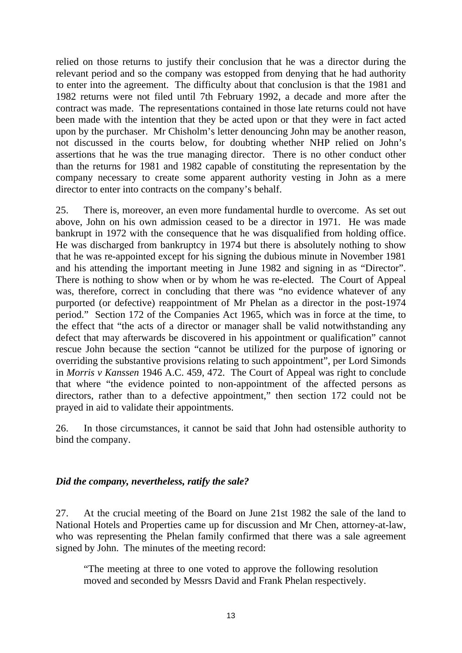relied on those returns to justify their conclusion that he was a director during the relevant period and so the company was estopped from denying that he had authority to enter into the agreement. The difficulty about that conclusion is that the 1981 and 1982 returns were not filed until 7th February 1992, a decade and more after the contract was made. The representations contained in those late returns could not have been made with the intention that they be acted upon or that they were in fact acted upon by the purchaser. Mr Chisholm's letter denouncing John may be another reason, not discussed in the courts below, for doubting whether NHP relied on John's assertions that he was the true managing director. There is no other conduct other than the returns for 1981 and 1982 capable of constituting the representation by the company necessary to create some apparent authority vesting in John as a mere director to enter into contracts on the company's behalf.

25. There is, moreover, an even more fundamental hurdle to overcome. As set out above, John on his own admission ceased to be a director in 1971. He was made bankrupt in 1972 with the consequence that he was disqualified from holding office. He was discharged from bankruptcy in 1974 but there is absolutely nothing to show that he was re-appointed except for his signing the dubious minute in November 1981 and his attending the important meeting in June 1982 and signing in as "Director". There is nothing to show when or by whom he was re-elected. The Court of Appeal was, therefore, correct in concluding that there was "no evidence whatever of any purported (or defective) reappointment of Mr Phelan as a director in the post-1974 period." Section 172 of the Companies Act 1965, which was in force at the time, to the effect that "the acts of a director or manager shall be valid notwithstanding any defect that may afterwards be discovered in his appointment or qualification" cannot rescue John because the section "cannot be utilized for the purpose of ignoring or overriding the substantive provisions relating to such appointment", per Lord Simonds in *Morris v Kanssen* 1946 A.C. 459, 472. The Court of Appeal was right to conclude that where "the evidence pointed to non-appointment of the affected persons as directors, rather than to a defective appointment," then section 172 could not be prayed in aid to validate their appointments.

26. In those circumstances, it cannot be said that John had ostensible authority to bind the company.

## *Did the company, nevertheless, ratify the sale?*

27. At the crucial meeting of the Board on June 21st 1982 the sale of the land to National Hotels and Properties came up for discussion and Mr Chen, attorney-at-law, who was representing the Phelan family confirmed that there was a sale agreement signed by John. The minutes of the meeting record:

"The meeting at three to one voted to approve the following resolution moved and seconded by Messrs David and Frank Phelan respectively.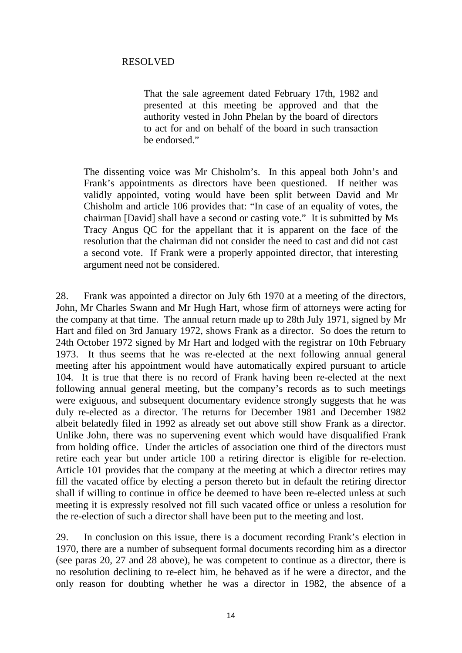That the sale agreement dated February 17th, 1982 and presented at this meeting be approved and that the authority vested in John Phelan by the board of directors to act for and on behalf of the board in such transaction be endorsed."

The dissenting voice was Mr Chisholm's. In this appeal both John's and Frank's appointments as directors have been questioned. If neither was validly appointed, voting would have been split between David and Mr Chisholm and article 106 provides that: "In case of an equality of votes, the chairman [David] shall have a second or casting vote." It is submitted by Ms Tracy Angus QC for the appellant that it is apparent on the face of the resolution that the chairman did not consider the need to cast and did not cast a second vote. If Frank were a properly appointed director, that interesting argument need not be considered.

28. Frank was appointed a director on July 6th 1970 at a meeting of the directors, John, Mr Charles Swann and Mr Hugh Hart, whose firm of attorneys were acting for the company at that time. The annual return made up to 28th July 1971, signed by Mr Hart and filed on 3rd January 1972, shows Frank as a director. So does the return to 24th October 1972 signed by Mr Hart and lodged with the registrar on 10th February 1973. It thus seems that he was re-elected at the next following annual general meeting after his appointment would have automatically expired pursuant to article 104. It is true that there is no record of Frank having been re-elected at the next following annual general meeting, but the company's records as to such meetings were exiguous, and subsequent documentary evidence strongly suggests that he was duly re-elected as a director. The returns for December 1981 and December 1982 albeit belatedly filed in 1992 as already set out above still show Frank as a director. Unlike John, there was no supervening event which would have disqualified Frank from holding office. Under the articles of association one third of the directors must retire each year but under article 100 a retiring director is eligible for re-election. Article 101 provides that the company at the meeting at which a director retires may fill the vacated office by electing a person thereto but in default the retiring director shall if willing to continue in office be deemed to have been re-elected unless at such meeting it is expressly resolved not fill such vacated office or unless a resolution for the re-election of such a director shall have been put to the meeting and lost.

29. In conclusion on this issue, there is a document recording Frank's election in 1970, there are a number of subsequent formal documents recording him as a director (see paras 20, 27 and 28 above), he was competent to continue as a director, there is no resolution declining to re-elect him, he behaved as if he were a director, and the only reason for doubting whether he was a director in 1982, the absence of a